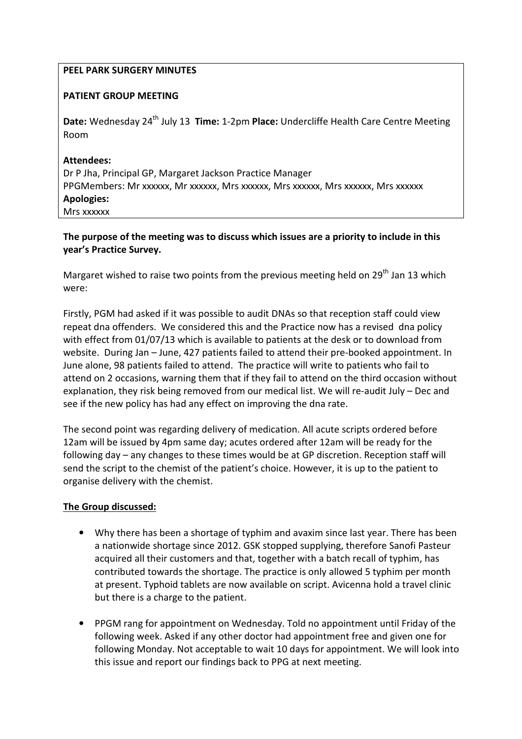### PEEL PARK SURGERY MINUTES

## PATIENT GROUP MEETING

Date: Wednesday 24<sup>th</sup> July 13 Time: 1-2pm Place: Undercliffe Health Care Centre Meeting Room

## Attendees:

Dr P Jha, Principal GP, Margaret Jackson Practice Manager PPGMembers: Mr xxxxxx, Mr xxxxxx, Mrs xxxxxx, Mrs xxxxxx, Mrs xxxxxx, Mrs xxxxxx Apologies: Mrs xxxxxx

# The purpose of the meeting was to discuss which issues are a priority to include in this year's Practice Survey.

Margaret wished to raise two points from the previous meeting held on  $29<sup>th</sup>$  Jan 13 which were:

Firstly, PGM had asked if it was possible to audit DNAs so that reception staff could view repeat dna offenders. We considered this and the Practice now has a revised dna policy with effect from 01/07/13 which is available to patients at the desk or to download from website. During Jan – June, 427 patients failed to attend their pre-booked appointment. In June alone, 98 patients failed to attend. The practice will write to patients who fail to attend on 2 occasions, warning them that if they fail to attend on the third occasion without explanation, they risk being removed from our medical list. We will re-audit July – Dec and see if the new policy has had any effect on improving the dna rate.

The second point was regarding delivery of medication. All acute scripts ordered before 12am will be issued by 4pm same day; acutes ordered after 12am will be ready for the following day – any changes to these times would be at GP discretion. Reception staff will send the script to the chemist of the patient's choice. However, it is up to the patient to organise delivery with the chemist.

# The Group discussed:

- Why there has been a shortage of typhim and avaxim since last year. There has been a nationwide shortage since 2012. GSK stopped supplying, therefore Sanofi Pasteur acquired all their customers and that, together with a batch recall of typhim, has contributed towards the shortage. The practice is only allowed 5 typhim per month at present. Typhoid tablets are now available on script. Avicenna hold a travel clinic but there is a charge to the patient.
- PPGM rang for appointment on Wednesday. Told no appointment until Friday of the following week. Asked if any other doctor had appointment free and given one for following Monday. Not acceptable to wait 10 days for appointment. We will look into this issue and report our findings back to PPG at next meeting.